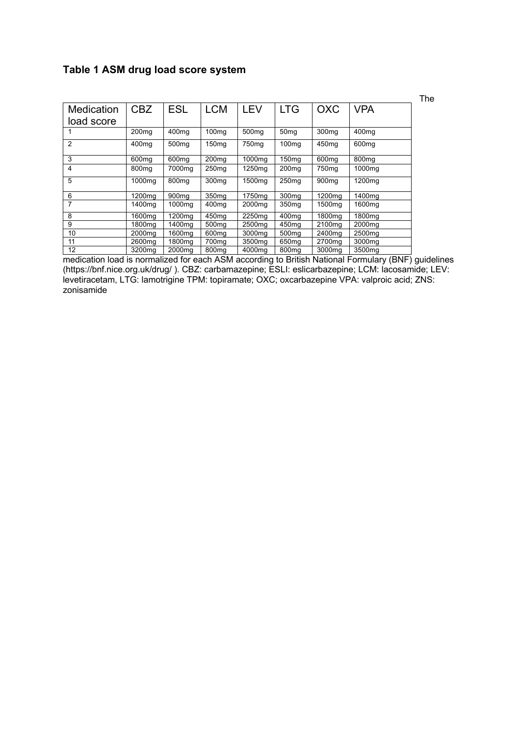## **Table 1 ASM drug load score system**

|            |                    |                    |                   |                    |                   |                    |                    | The |
|------------|--------------------|--------------------|-------------------|--------------------|-------------------|--------------------|--------------------|-----|
| Medication | <b>CBZ</b>         | <b>ESL</b>         | <b>LCM</b>        | LEV                | <b>LTG</b>        | <b>OXC</b>         | <b>VPA</b>         |     |
| load score |                    |                    |                   |                    |                   |                    |                    |     |
|            | 200 <sub>ma</sub>  | 400 <sub>mg</sub>  | 100 <sub>mg</sub> | 500 <sub>mg</sub>  | 50 <sub>mq</sub>  | 300 <sub>mq</sub>  | 400 <sub>mq</sub>  |     |
| 2          | 400 <sub>mq</sub>  | 500 <sub>mq</sub>  | 150 <sub>mg</sub> | 750 <sub>mq</sub>  | 100 <sub>mq</sub> | 450 <sub>mq</sub>  | 600 <sub>mq</sub>  |     |
| 3          | 600 <sub>mq</sub>  | 600 <sub>mg</sub>  | 200 <sub>mg</sub> | 1000mg             | 150 <sub>mq</sub> | 600 <sub>mq</sub>  | 800 <sub>mq</sub>  |     |
| 4          | 800 <sub>mg</sub>  | 7000mg             | 250 <sub>mg</sub> | 1250mg             | 200 <sub>mq</sub> | 750 <sub>mg</sub>  | 1000mg             |     |
| 5          | 1000ma             | 800 <sub>mg</sub>  | 300 <sub>mg</sub> | 1500ma             | 250 <sub>mg</sub> | 900 <sub>mq</sub>  | 1200mg             |     |
| 6          | 1200ma             | 900 <sub>mq</sub>  | 350 <sub>ma</sub> | 1750ma             | 300 <sub>mq</sub> | 1200ma             | 1400mg             |     |
| 7          | 1400mg             | 1000 <sub>mg</sub> | 400 <sub>mg</sub> | 2000mg             | 350 <sub>mg</sub> | 1500mg             | 1600 <sub>mq</sub> |     |
| 8          | 1600ma             | 1200mg             | 450 <sub>ma</sub> | 2250 <sub>ma</sub> | 400 <sub>mq</sub> | 1800 <sub>mq</sub> | 1800ma             |     |
| 9          | 1800ma             | 1400mg             | 500 <sub>ma</sub> | 2500 <sub>mq</sub> | 450 <sub>mq</sub> | 2100 <sub>ma</sub> | 2000 <sub>ma</sub> |     |
| 10         | 2000 <sub>mq</sub> | 1600mg             | 600 <sub>mg</sub> | 3000mg             | 500 <sub>mq</sub> | 2400 <sub>mg</sub> | 2500 <sub>mq</sub> |     |
| 11         | 2600 <sub>ma</sub> | 1800mg             | 700ma             | 3500ma             | 650 <sub>mg</sub> | 2700 <sub>mq</sub> | 3000mg             |     |
| 12         | 3200 <sub>mq</sub> | 2000 <sub>mq</sub> | 800 <sub>mg</sub> | 4000mg             | 800 <sub>mg</sub> | 3000mg             | 3500mg             |     |

medication load is normalized for each ASM according to British National Formulary (BNF) guidelines (https://bnf.nice.org.uk/drug/ ). CBZ: carbamazepine; ESLI: eslicarbazepine; LCM: lacosamide; LEV: levetiracetam, LTG: lamotrigine TPM: topiramate; OXC; oxcarbazepine VPA: valproic acid; ZNS: zonisamide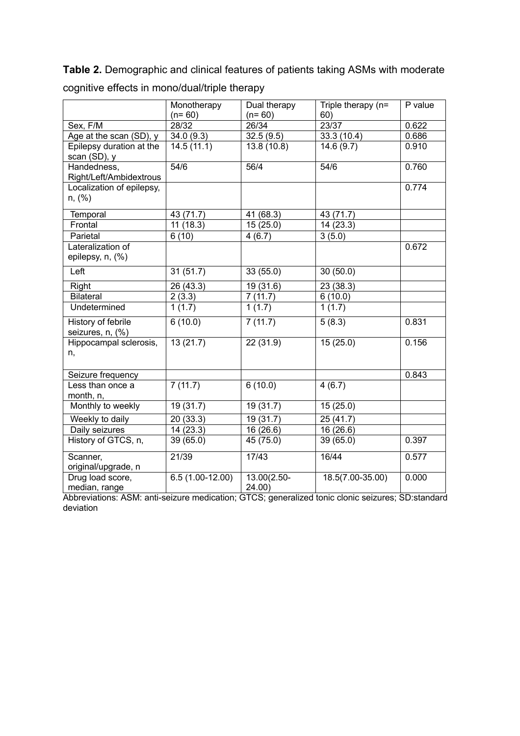**Table 2.** Demographic and clinical features of patients taking ASMs with moderate cognitive effects in mono/dual/triple therapy

|                                               | Monotherapy<br>$(n=60)$ | Dual therapy<br>$(n=60)$ | Triple therapy (n=<br>60) | P value |
|-----------------------------------------------|-------------------------|--------------------------|---------------------------|---------|
| Sex, F/M                                      | 28/32                   | 26/34                    | 23/37                     | 0.622   |
| Age at the scan (SD), y                       | 34.0(9.3)               | 32.5(9.5)                | 33.3 (10.4)               | 0.686   |
| Epilepsy duration at the<br>scan (SD), y      | 14.5(11.1)              | 13.8 (10.8)              | 14.6(9.7)                 | 0.910   |
| Handedness,<br>Right/Left/Ambidextrous        | 54/6                    | 56/4                     | 54/6                      | 0.760   |
| Localization of epilepsy,<br>n, (%)           |                         |                          |                           | 0.774   |
| Temporal                                      | 43 (71.7)               | 41 (68.3)                | 43 (71.7)                 |         |
| Frontal                                       | 11(18.3)                | 15(25.0)                 | 14(23.3)                  |         |
| Parietal                                      | 6(10)                   | 4(6.7)                   | 3(5.0)                    |         |
| Lateralization of<br>epilepsy, n, (%)         |                         |                          |                           | 0.672   |
| Left                                          | 31(51.7)                | 33 (55.0)                | 30(50.0)                  |         |
| Right                                         | 26(43.3)                | 19(31.6)                 | 23(38.3)                  |         |
| <b>Bilateral</b>                              | 2(3.3)                  | 7(11.7)                  | 6(10.0)                   |         |
| Undetermined                                  | 1(1.7)                  | 1(1.7)                   | 1(1.7)                    |         |
| <b>History of febrile</b><br>seizures, n, (%) | 6(10.0)                 | 7(11.7)                  | 5(8.3)                    | 0.831   |
| Hippocampal sclerosis,<br>n,                  | 13(21.7)                | 22(31.9)                 | 15(25.0)                  | 0.156   |
| Seizure frequency                             |                         |                          |                           | 0.843   |
| Less than once a<br>month, n,                 | 7(11.7)                 | 6(10.0)                  | 4(6.7)                    |         |
| Monthly to weekly                             | 19 (31.7)               | 19 (31.7)                | 15(25.0)                  |         |
| Weekly to daily                               | 20(33.3)                | 19(31.7)                 | 25(41.7)                  |         |
| Daily seizures                                | 14(23.3)                | 16 (26.6)                | 16 (26.6)                 |         |
| History of GTCS, n,                           | 39 (65.0)               | 45 (75.0)                | 39 (65.0)                 | 0.397   |
| Scanner,<br>original/upgrade, n               | 21/39                   | 17/43                    | 16/44                     | 0.577   |
| Drug load score,<br>median, range             | $6.5(1.00-12.00)$       | $13.00(2.50 -$<br>24.00) | $18.5(7.00-35.00)$        | 0.000   |

Abbreviations: ASM: anti-seizure medication; GTCS; generalized tonic clonic seizures; SD:standard deviation